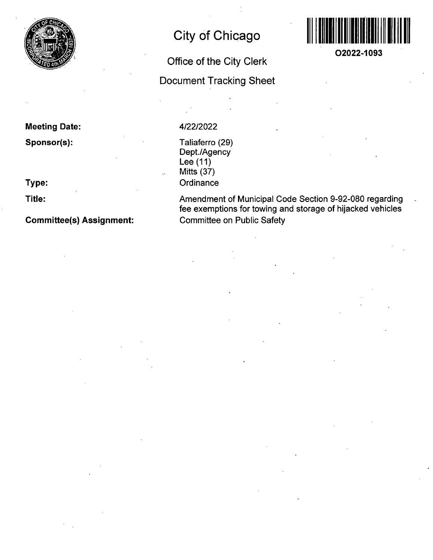

# **City of Chicago**

## **Office of the City Clerk**

## **Document Tracking Sheet**



**O2022-1093** 

**Meeting Date:** 

**Sponsor(s):** 

**Type:** 

**Title:** 

**Committee(s) Assignment:** 

### 4/22/2022

Taliaferro (29) Dept./Agency Lee (11) Mitts (37) **Ordinance** 

Amendment of Municipal Code Section 9-92-080 regarding fee exemptions for towing and storage of hijacked vehicles Committee on Public Safety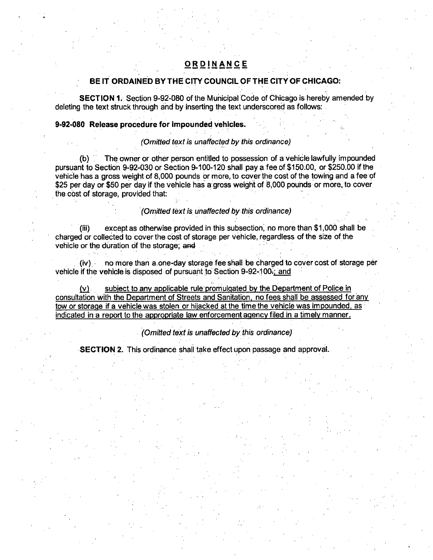### **ORDINANC E**

#### **BE IT ORDAINED BY THE CITY COUNCIL OF THE CITY OF CHICAGO:**

SECTION 1. Section 9-92-080 of the Municipal Code of Chicago is hereby amended by deleting the text struck through and by inserting the text underscored as follows:

#### **9-92-080 Release procedure for impounded vehicles.**

#### (Omitted text is unaffected by this ordinance)

The owner or other person entitled to possession of a vehicle lawfully impounded pursuant to Section 9-92-030 or Section 9-100-120 shall pay a fee of \$150.00, or \$250.00 if the vehicle has a gross weight of 8,000 pounds or more, to cover the cost of the towing and a fee of \$25 per day or \$50 per day if the vehicle has a gross weight of 8,000 pounds or more, to cover the cost of storage, provided that:

#### (Omitted text is unaffected by this ordinance)

except as otherwise provided in this subsection, no more than \$1,000 shall be charged or collected to cover the cost of storage per vehicle, regardless of the size of the vehicle or the duration of the storage; and

(iv) no more than a.one-day storage fee shall be charged to cover cost of storage per vehicle if the vehicle is disposed of pursuant to Section 9-92-1 OOr; and

 $(v)$  subject to any applicable rule promulgated by the Department of Police in consultation with the Department of Streets and Sanitation, no fees shall be assessed for any tow or storage if a vehicle was stolen or hijacked at the time the vehicle was impounded, as indicated in a report to the appropriate law enforcement aqencv filed in a timelv manner.

#### (Omitted text is unaffected by this ordinance)

SECTION 2. This ordinance shall take effect upon passage and approval.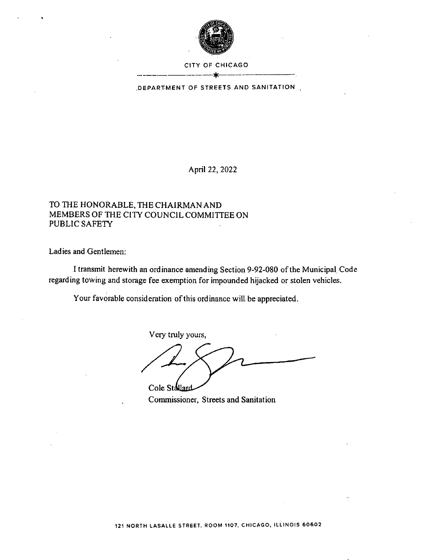

#### CITY OF CHICAGO \*

DEPARTMENT OF STREETS AND SANITATION

April 22, 2022

### TO THE HONORABLE, THE CHAIRMAN AND MEMBERS OF THE CITY COUNCIL COMMITTEE ON PUBLIC SAFETY

Ladies and Gentlemen:

I transmit herewith an ordinance amending Section 9-92-080 of the Municipal Code regarding towing and storage fee exemption for impounded hijacked or stolen vehicles.

Your favorable consideration of this ordinance will be appreciated.

Very truly yours,

**Cole Stallard** 

Commissioner, Streets and Sanitation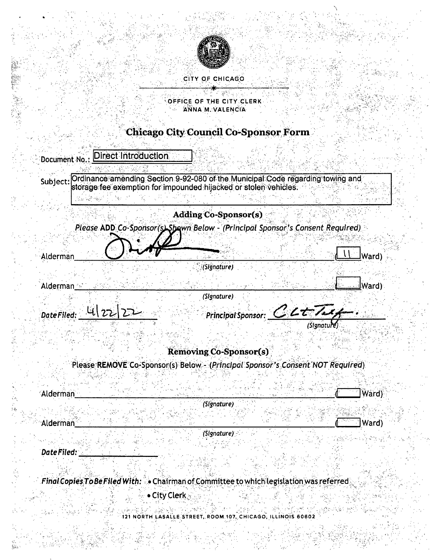

### CITY OF CHICAGO

#### **OFFICE OF THE CITY CLERK** ANNA M. VALENCIA å.

## **Chicago City Council Co-Sponsor Form**

| Subject:              | Ordinance amending Section 9-92-080 of the Municipal Code regarding towing and<br>storage fee exemption for impounded hijacked or stolen vehicles. |                            |       |
|-----------------------|----------------------------------------------------------------------------------------------------------------------------------------------------|----------------------------|-------|
|                       |                                                                                                                                                    |                            |       |
|                       | <b>Adding Co-Sponsor(s)</b>                                                                                                                        |                            |       |
|                       | Please ADD Co-Sponsor(s) Shown Below - (Principal Sponsor's Consent Required)                                                                      |                            |       |
|                       |                                                                                                                                                    |                            |       |
| Alderman              | والمتهام أستوا                                                                                                                                     | <u>ngan</u> yaéta Sula     | Ward) |
|                       | (Signature)                                                                                                                                        |                            |       |
| Alderman <sup>2</sup> |                                                                                                                                                    |                            |       |
|                       | (Signature)                                                                                                                                        |                            |       |
| 422<br>Date Filed:    |                                                                                                                                                    | Principal Sponsor: CLUTALY |       |
|                       |                                                                                                                                                    | (Signatu                   |       |
|                       |                                                                                                                                                    |                            |       |
|                       |                                                                                                                                                    |                            |       |
|                       | <b>Removing Co-Sponsor(s)</b>                                                                                                                      |                            |       |
|                       | Please REMOVE Co-Sponsor(s) Below - (Principal Sponsor's Consent NOT Required)                                                                     |                            |       |
|                       |                                                                                                                                                    |                            |       |
| Alderman              |                                                                                                                                                    |                            | Ward) |
|                       | (Signature)                                                                                                                                        |                            |       |

Final Copies To Be Filed With: Chairman of Committee to which legislation was referred

· City Clerk

 $\sum_{i=1}^{N_{\rm max}}$ 

人名英格兰人姓氏拉伯的变体

 $\frac{3}{2}$ 

121 NORTH LASALLE STREET, ROOM 107, CHICAGO, ILLINOIS 60602